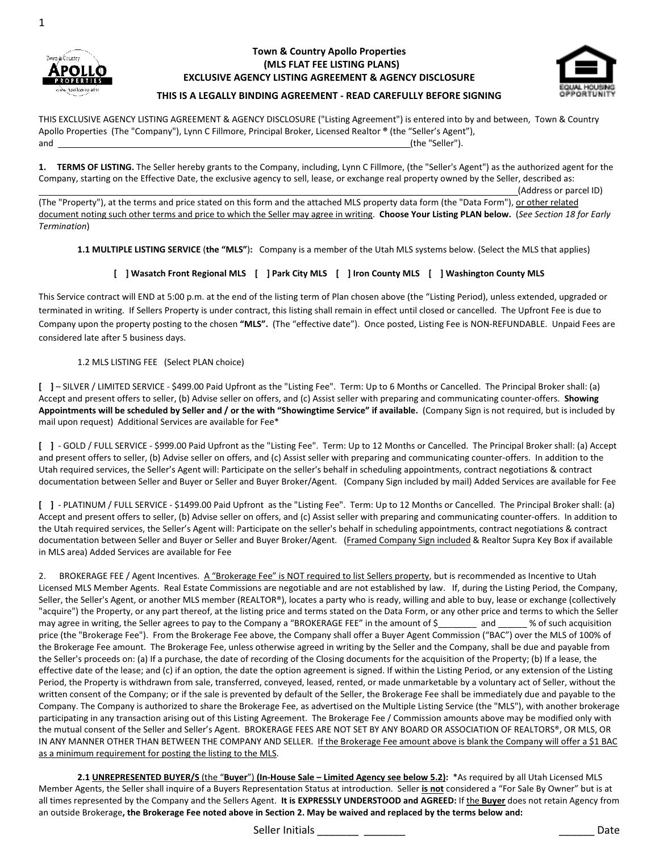



#### Town & Country Apollo Properties (MLS FLAT FEE LISTING PLANS) EXCLUSIVE AGENCY LISTING AGREEMENT & AGENCY DISCLOSURE



# THIS IS A LEGALLY BINDING AGREEMENT - READ CAREFULLY BEFORE SIGNING

THIS EXCLUSIVE AGENCY LISTING AGREEMENT & AGENCY DISCLOSURE ("Listing Agreement") is entered into by and between, Town & Country Apollo Properties (The "Company"), Lynn C Fillmore, Principal Broker, Licensed Realtor ® (the "Seller's Agent"), and **the "Seller").** The contract of the "Seller" and the "Seller" is a self-of the "Seller" is a self-of the "Seller" is a self-of the "Seller" is a self-of the "Seller" is a self-of the "Seller" is a self-of the "Seller"

1. TERMS OF LISTING. The Seller hereby grants to the Company, including, Lynn C Fillmore, (the "Seller's Agent") as the authorized agent for the Company, starting on the Effective Date, the exclusive agency to sell, lease, or exchange real property owned by the Seller, described as:

(Address or parcel ID)

(The "Property"), at the terms and price stated on this form and the attached MLS property data form (the "Data Form"), or other related document noting such other terms and price to which the Seller may agree in writing. Choose Your Listing PLAN below. (See Section 18 for Early Termination)

1.1 MULTIPLE LISTING SERVICE (the "MLS"): Company is a member of the Utah MLS systems below. (Select the MLS that applies)

## [ ] Wasatch Front Regional MLS [ ] Park City MLS [ ] Iron County MLS [ ] Washington County MLS

This Service contract will END at 5:00 p.m. at the end of the listing term of Plan chosen above (the "Listing Period), unless extended, upgraded or terminated in writing. If Sellers Property is under contract, this listing shall remain in effect until closed or cancelled. The Upfront Fee is due to Company upon the property posting to the chosen "MLS". (The "effective date"). Once posted, Listing Fee is NON-REFUNDABLE. Unpaid Fees are considered late after 5 business days.

### 1.2 MLS LISTING FEE (Select PLAN choice)

[ ] – SILVER / LIMITED SERVICE - \$499.00 Paid Upfront as the "Listing Fee". Term: Up to 6 Months or Cancelled. The Principal Broker shall: (a) Accept and present offers to seller, (b) Advise seller on offers, and (c) Assist seller with preparing and communicating counter-offers. Showing Appointments will be scheduled by Seller and / or the with "Showingtime Service" if available. (Company Sign is not required, but is included by mail upon request) Additional Services are available for Fee\*

[ ] - GOLD / FULL SERVICE - \$999.00 Paid Upfront as the "Listing Fee". Term: Up to 12 Months or Cancelled. The Principal Broker shall: (a) Accept and present offers to seller, (b) Advise seller on offers, and (c) Assist seller with preparing and communicating counter-offers. In addition to the Utah required services, the Seller's Agent will: Participate on the seller's behalf in scheduling appointments, contract negotiations & contract documentation between Seller and Buyer or Seller and Buyer Broker/Agent. (Company Sign included by mail) Added Services are available for Fee

[ ] - PLATINUM / FULL SERVICE - \$1499.00 Paid Upfront as the "Listing Fee". Term: Up to 12 Months or Cancelled. The Principal Broker shall: (a) Accept and present offers to seller, (b) Advise seller on offers, and (c) Assist seller with preparing and communicating counter-offers. In addition to the Utah required services, the Seller's Agent will: Participate on the seller's behalf in scheduling appointments, contract negotiations & contract documentation between Seller and Buyer or Seller and Buyer Broker/Agent. (Framed Company Sign included & Realtor Supra Key Box if available in MLS area) Added Services are available for Fee

2. BROKERAGE FEE / Agent Incentives. A "Brokerage Fee" is NOT required to list Sellers property, but is recommended as Incentive to Utah Licensed MLS Member Agents. Real Estate Commissions are negotiable and are not established by law. If, during the Listing Period, the Company, Seller, the Seller's Agent, or another MLS member (REALTOR®), locates a party who is ready, willing and able to buy, lease or exchange (collectively "acquire") the Property, or any part thereof, at the listing price and terms stated on the Data Form, or any other price and terms to which the Seller may agree in writing, the Seller agrees to pay to the Company a "BROKERAGE FEE" in the amount of \$\_\_\_\_\_\_\_\_ and \_\_\_\_\_\_ % of such acquisition price (the "Brokerage Fee"). From the Brokerage Fee above, the Company shall offer a Buyer Agent Commission ("BAC") over the MLS of 100% of the Brokerage Fee amount. The Brokerage Fee, unless otherwise agreed in writing by the Seller and the Company, shall be due and payable from the Seller's proceeds on: (a) If a purchase, the date of recording of the Closing documents for the acquisition of the Property; (b) If a lease, the effective date of the lease; and (c) if an option, the date the option agreement is signed. If within the Listing Period, or any extension of the Listing Period, the Property is withdrawn from sale, transferred, conveyed, leased, rented, or made unmarketable by a voluntary act of Seller, without the written consent of the Company; or if the sale is prevented by default of the Seller, the Brokerage Fee shall be immediately due and payable to the Company. The Company is authorized to share the Brokerage Fee, as advertised on the Multiple Listing Service (the "MLS"), with another brokerage participating in any transaction arising out of this Listing Agreement. The Brokerage Fee / Commission amounts above may be modified only with the mutual consent of the Seller and Seller's Agent. BROKERAGE FEES ARE NOT SET BY ANY BOARD OR ASSOCIATION OF REALTORS®, OR MLS, OR IN ANY MANNER OTHER THAN BETWEEN THE COMPANY AND SELLER. If the Brokerage Fee amount above is blank the Company will offer a \$1 BAC as a minimum requirement for posting the listing to the MLS.

2.1 UNREPRESENTED BUYER/S (the "Buyer") (In-House Sale - Limited Agency see below 5.2): \*As required by all Utah Licensed MLS Member Agents, the Seller shall inquire of a Buyers Representation Status at introduction. Seller is not considered a "For Sale By Owner" but is at all times represented by the Company and the Sellers Agent. It is EXPRESSLY UNDERSTOOD and AGREED: If the Buyer does not retain Agency from an outside Brokerage, the Brokerage Fee noted above in Section 2. May be waived and replaced by the terms below and:

Seller Initials \_\_\_\_\_\_\_ \_\_\_\_\_\_\_ \_\_\_\_\_\_ Date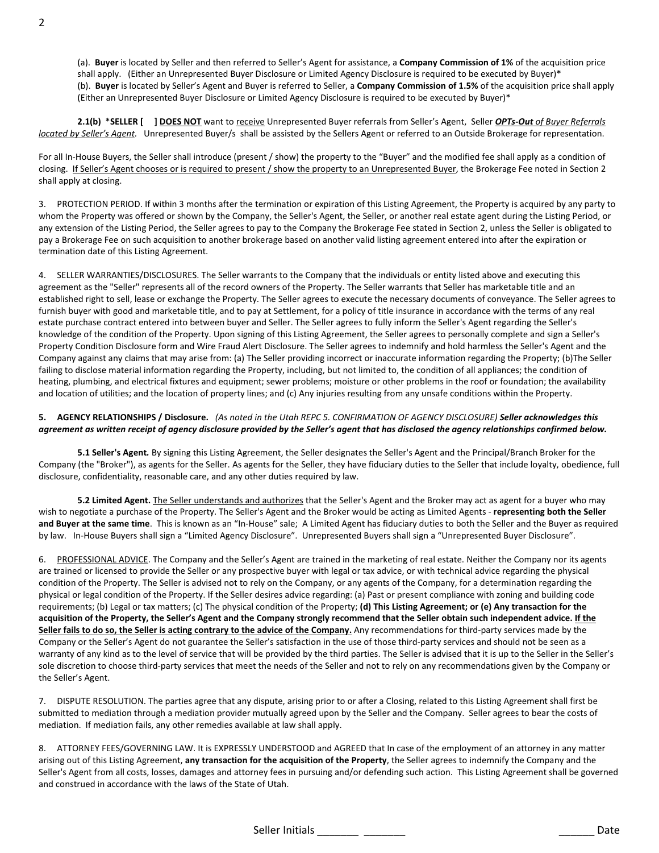(a). Buyer is located by Seller and then referred to Seller's Agent for assistance, a Company Commission of 1% of the acquisition price shall apply. (Either an Unrepresented Buyer Disclosure or Limited Agency Disclosure is required to be executed by Buyer)\* (b). Buyer is located by Seller's Agent and Buyer is referred to Seller, a Company Commission of 1.5% of the acquisition price shall apply (Either an Unrepresented Buyer Disclosure or Limited Agency Disclosure is required to be executed by Buyer)\*

2.1(b) \*SELLER [ ] DOES NOT want to receive Unrepresented Buyer referrals from Seller's Agent, Seller OPTs-Out of Buyer Referrals located by Seller's Agent. Unrepresented Buyer/s shall be assisted by the Sellers Agent or referred to an Outside Brokerage for representation.

For all In-House Buyers, the Seller shall introduce (present / show) the property to the "Buyer" and the modified fee shall apply as a condition of closing. If Seller's Agent chooses or is required to present / show the property to an Unrepresented Buyer, the Brokerage Fee noted in Section 2 shall apply at closing.

3. PROTECTION PERIOD. If within 3 months after the termination or expiration of this Listing Agreement, the Property is acquired by any party to whom the Property was offered or shown by the Company, the Seller's Agent, the Seller, or another real estate agent during the Listing Period, or any extension of the Listing Period, the Seller agrees to pay to the Company the Brokerage Fee stated in Section 2, unless the Seller is obligated to pay a Brokerage Fee on such acquisition to another brokerage based on another valid listing agreement entered into after the expiration or termination date of this Listing Agreement.

4. SELLER WARRANTIES/DISCLOSURES. The Seller warrants to the Company that the individuals or entity listed above and executing this agreement as the "Seller" represents all of the record owners of the Property. The Seller warrants that Seller has marketable title and an established right to sell, lease or exchange the Property. The Seller agrees to execute the necessary documents of conveyance. The Seller agrees to furnish buyer with good and marketable title, and to pay at Settlement, for a policy of title insurance in accordance with the terms of any real estate purchase contract entered into between buyer and Seller. The Seller agrees to fully inform the Seller's Agent regarding the Seller's knowledge of the condition of the Property. Upon signing of this Listing Agreement, the Seller agrees to personally complete and sign a Seller's Property Condition Disclosure form and Wire Fraud Alert Disclosure. The Seller agrees to indemnify and hold harmless the Seller's Agent and the Company against any claims that may arise from: (a) The Seller providing incorrect or inaccurate information regarding the Property; (b)The Seller failing to disclose material information regarding the Property, including, but not limited to, the condition of all appliances; the condition of heating, plumbing, and electrical fixtures and equipment; sewer problems; moisture or other problems in the roof or foundation; the availability and location of utilities; and the location of property lines; and (c) Any injuries resulting from any unsafe conditions within the Property.

### 5. AGENCY RELATIONSHIPS / Disclosure. (As noted in the Utah REPC 5. CONFIRMATION OF AGENCY DISCLOSURE) Seller acknowledges this agreement as written receipt of agency disclosure provided by the Seller's agent that has disclosed the agency relationships confirmed below.

5.1 Seller's Agent. By signing this Listing Agreement, the Seller designates the Seller's Agent and the Principal/Branch Broker for the Company (the "Broker"), as agents for the Seller. As agents for the Seller, they have fiduciary duties to the Seller that include loyalty, obedience, full disclosure, confidentiality, reasonable care, and any other duties required by law.

5.2 Limited Agent. The Seller understands and authorizes that the Seller's Agent and the Broker may act as agent for a buyer who may wish to negotiate a purchase of the Property. The Seller's Agent and the Broker would be acting as Limited Agents - representing both the Seller and Buyer at the same time. This is known as an "In-House" sale; A Limited Agent has fiduciary duties to both the Seller and the Buyer as required by law. In-House Buyers shall sign a "Limited Agency Disclosure". Unrepresented Buyers shall sign a "Unrepresented Buyer Disclosure".

6. PROFESSIONAL ADVICE. The Company and the Seller's Agent are trained in the marketing of real estate. Neither the Company nor its agents are trained or licensed to provide the Seller or any prospective buyer with legal or tax advice, or with technical advice regarding the physical condition of the Property. The Seller is advised not to rely on the Company, or any agents of the Company, for a determination regarding the physical or legal condition of the Property. If the Seller desires advice regarding: (a) Past or present compliance with zoning and building code requirements; (b) Legal or tax matters; (c) The physical condition of the Property; (d) This Listing Agreement; or (e) Any transaction for the acquisition of the Property, the Seller's Agent and the Company strongly recommend that the Seller obtain such independent advice. If the Seller fails to do so, the Seller is acting contrary to the advice of the Company. Any recommendations for third-party services made by the Company or the Seller's Agent do not guarantee the Seller's satisfaction in the use of those third-party services and should not be seen as a warranty of any kind as to the level of service that will be provided by the third parties. The Seller is advised that it is up to the Seller in the Seller's sole discretion to choose third-party services that meet the needs of the Seller and not to rely on any recommendations given by the Company or the Seller's Agent.

7. DISPUTE RESOLUTION. The parties agree that any dispute, arising prior to or after a Closing, related to this Listing Agreement shall first be submitted to mediation through a mediation provider mutually agreed upon by the Seller and the Company. Seller agrees to bear the costs of mediation. If mediation fails, any other remedies available at law shall apply.

8. ATTORNEY FEES/GOVERNING LAW. It is EXPRESSLY UNDERSTOOD and AGREED that In case of the employment of an attorney in any matter arising out of this Listing Agreement, any transaction for the acquisition of the Property, the Seller agrees to indemnify the Company and the Seller's Agent from all costs, losses, damages and attorney fees in pursuing and/or defending such action. This Listing Agreement shall be governed and construed in accordance with the laws of the State of Utah.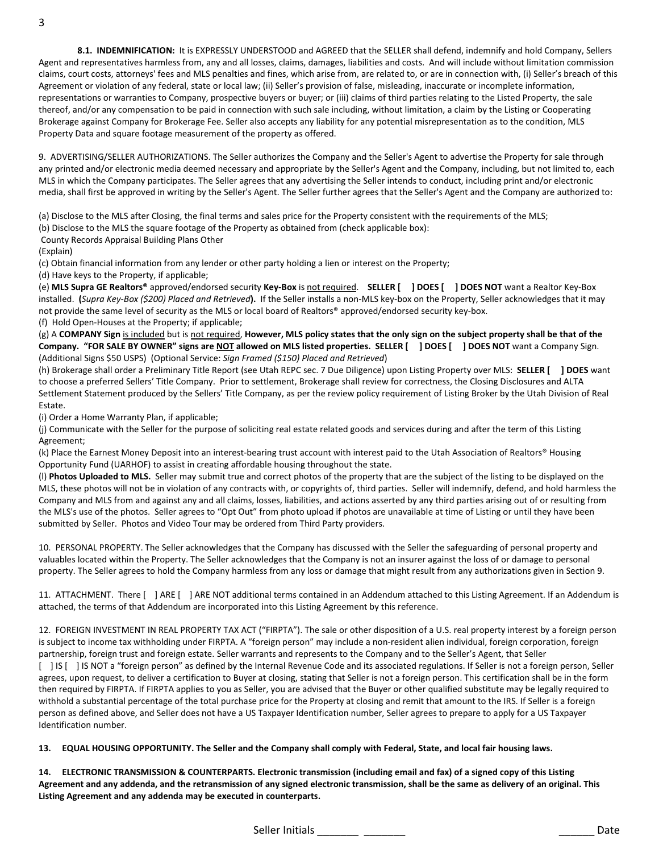8.1. INDEMNIFICATION: It is EXPRESSLY UNDERSTOOD and AGREED that the SELLER shall defend, indemnify and hold Company, Sellers Agent and representatives harmless from, any and all losses, claims, damages, liabilities and costs. And will include without limitation commission claims, court costs, attorneys' fees and MLS penalties and fines, which arise from, are related to, or are in connection with, (i) Seller's breach of this Agreement or violation of any federal, state or local law; (ii) Seller's provision of false, misleading, inaccurate or incomplete information, representations or warranties to Company, prospective buyers or buyer; or (iii) claims of third parties relating to the Listed Property, the sale thereof, and/or any compensation to be paid in connection with such sale including, without limitation, a claim by the Listing or Cooperating Brokerage against Company for Brokerage Fee. Seller also accepts any liability for any potential misrepresentation as to the condition, MLS Property Data and square footage measurement of the property as offered.

9. ADVERTISING/SELLER AUTHORIZATIONS. The Seller authorizes the Company and the Seller's Agent to advertise the Property for sale through any printed and/or electronic media deemed necessary and appropriate by the Seller's Agent and the Company, including, but not limited to, each MLS in which the Company participates. The Seller agrees that any advertising the Seller intends to conduct, including print and/or electronic media, shall first be approved in writing by the Seller's Agent. The Seller further agrees that the Seller's Agent and the Company are authorized to:

(a) Disclose to the MLS after Closing, the final terms and sales price for the Property consistent with the requirements of the MLS;

(b) Disclose to the MLS the square footage of the Property as obtained from (check applicable box):

County Records Appraisal Building Plans Other

(Explain)

(c) Obtain financial information from any lender or other party holding a lien or interest on the Property;

(d) Have keys to the Property, if applicable;

(e) MLS Supra GE Realtors® approved/endorsed security Key-Box is not required. SELLER [ ] DOES [ ] DOES NOT want a Realtor Key-Box installed. (Supra Key-Box (\$200) Placed and Retrieved). If the Seller installs a non-MLS key-box on the Property, Seller acknowledges that it may not provide the same level of security as the MLS or local board of Realtors® approved/endorsed security key-box. (f) Hold Open-Houses at the Property; if applicable;

(g) A COMPANY Sign is included but is not required, However, MLS policy states that the only sign on the subject property shall be that of the Company. "FOR SALE BY OWNER" signs are NOT allowed on MLS listed properties. SELLER [ ] DOES [ ] DOES NOT want a Company Sign. (Additional Signs \$50 USPS) (Optional Service: Sign Framed (\$150) Placed and Retrieved)

(h) Brokerage shall order a Preliminary Title Report (see Utah REPC sec. 7 Due Diligence) upon Listing Property over MLS: SELLER [ ] DOES want to choose a preferred Sellers' Title Company. Prior to settlement, Brokerage shall review for correctness, the Closing Disclosures and ALTA Settlement Statement produced by the Sellers' Title Company, as per the review policy requirement of Listing Broker by the Utah Division of Real Estate.

(i) Order a Home Warranty Plan, if applicable;

(j) Communicate with the Seller for the purpose of soliciting real estate related goods and services during and after the term of this Listing Agreement;

(k) Place the Earnest Money Deposit into an interest-bearing trust account with interest paid to the Utah Association of Realtors® Housing Opportunity Fund (UARHOF) to assist in creating affordable housing throughout the state.

(I) Photos Uploaded to MLS. Seller may submit true and correct photos of the property that are the subject of the listing to be displayed on the MLS, these photos will not be in violation of any contracts with, or copyrights of, third parties. Seller will indemnify, defend, and hold harmless the Company and MLS from and against any and all claims, losses, liabilities, and actions asserted by any third parties arising out of or resulting from the MLS's use of the photos. Seller agrees to "Opt Out" from photo upload if photos are unavailable at time of Listing or until they have been submitted by Seller. Photos and Video Tour may be ordered from Third Party providers.

10. PERSONAL PROPERTY. The Seller acknowledges that the Company has discussed with the Seller the safeguarding of personal property and valuables located within the Property. The Seller acknowledges that the Company is not an insurer against the loss of or damage to personal property. The Seller agrees to hold the Company harmless from any loss or damage that might result from any authorizations given in Section 9.

11. ATTACHMENT. There [ ] ARE [ ] ARE NOT additional terms contained in an Addendum attached to this Listing Agreement. If an Addendum is attached, the terms of that Addendum are incorporated into this Listing Agreement by this reference.

12. FOREIGN INVESTMENT IN REAL PROPERTY TAX ACT ("FIRPTA"). The sale or other disposition of a U.S. real property interest by a foreign person is subject to income tax withholding under FIRPTA. A "foreign person" may include a non-resident alien individual, foreign corporation, foreign partnership, foreign trust and foreign estate. Seller warrants and represents to the Company and to the Seller's Agent, that Seller [ ] IS [ ] IS NOT a "foreign person" as defined by the Internal Revenue Code and its associated regulations. If Seller is not a foreign person, Seller agrees, upon request, to deliver a certification to Buyer at closing, stating that Seller is not a foreign person. This certification shall be in the form then required by FIRPTA. If FIRPTA applies to you as Seller, you are advised that the Buyer or other qualified substitute may be legally required to withhold a substantial percentage of the total purchase price for the Property at closing and remit that amount to the IRS. If Seller is a foreign person as defined above, and Seller does not have a US Taxpayer Identification number, Seller agrees to prepare to apply for a US Taxpayer Identification number.

13. EQUAL HOUSING OPPORTUNITY. The Seller and the Company shall comply with Federal, State, and local fair housing laws.

14. ELECTRONIC TRANSMISSION & COUNTERPARTS. Electronic transmission (including email and fax) of a signed copy of this Listing Agreement and any addenda, and the retransmission of any signed electronic transmission, shall be the same as delivery of an original. This Listing Agreement and any addenda may be executed in counterparts.